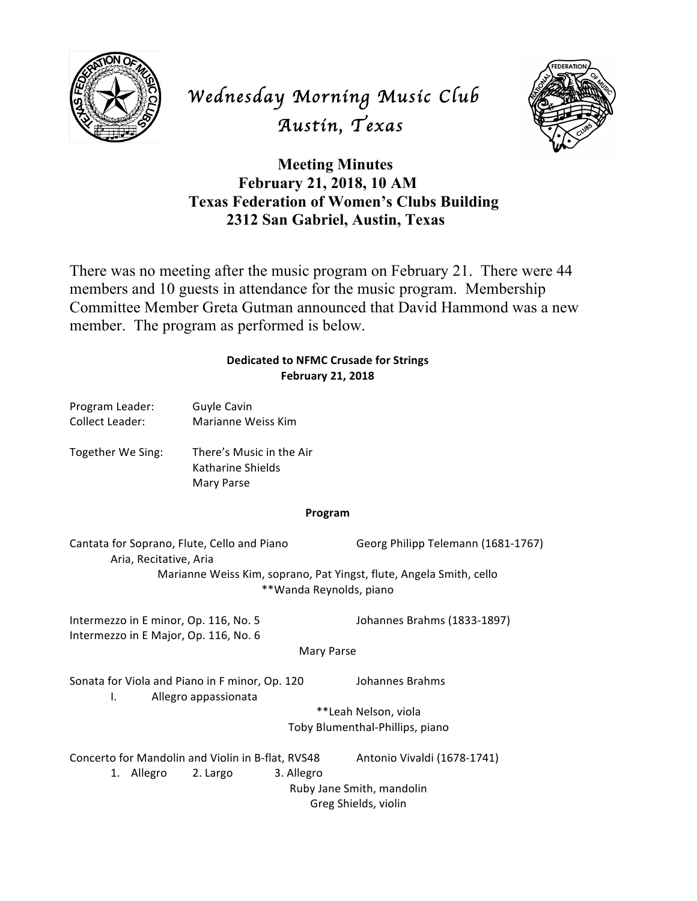

## *Wednesday Morning Music Club Austin, Texas*



## **Meeting Minutes February 21, 2018, 10 AM Texas Federation of Women's Clubs Building 2312 San Gabriel, Austin, Texas**

There was no meeting after the music program on February 21. There were 44 members and 10 guests in attendance for the music program. Membership Committee Member Greta Gutman announced that David Hammond was a new member. The program as performed is below.

## **Dedicated to NFMC Crusade for Strings February 21, 2018**

| Program Leader:<br><b>Collect Leader:</b>                                                                                                    | Guyle Cavin<br>Marianne Weiss Kim                                           |                                                                                  |
|----------------------------------------------------------------------------------------------------------------------------------------------|-----------------------------------------------------------------------------|----------------------------------------------------------------------------------|
| Together We Sing:                                                                                                                            | There's Music in the Air<br>Katharine Shields<br>Mary Parse                 |                                                                                  |
|                                                                                                                                              | Program                                                                     |                                                                                  |
| Cantata for Soprano, Flute, Cello and Piano<br>Aria, Recitative, Aria<br>Marianne Weiss Kim, soprano, Pat Yingst, flute, Angela Smith, cello |                                                                             | Georg Philipp Telemann (1681-1767)                                               |
|                                                                                                                                              | **Wanda Reynolds, piano                                                     |                                                                                  |
| Intermezzo in E minor, Op. 116, No. 5<br>Intermezzo in E Major, Op. 116, No. 6                                                               |                                                                             | Johannes Brahms (1833-1897)                                                      |
| Mary Parse                                                                                                                                   |                                                                             |                                                                                  |
| Sonata for Viola and Piano in F minor, Op. 120<br>Allegro appassionata<br>I.                                                                 |                                                                             | Johannes Brahms                                                                  |
|                                                                                                                                              |                                                                             | **Leah Nelson, viola<br>Toby Blumenthal-Phillips, piano                          |
| 1. Allegro                                                                                                                                   | Concerto for Mandolin and Violin in B-flat, RVS48<br>3. Allegro<br>2. Largo | Antonio Vivaldi (1678-1741)<br>Ruby Jane Smith, mandolin<br>Greg Shields, violin |